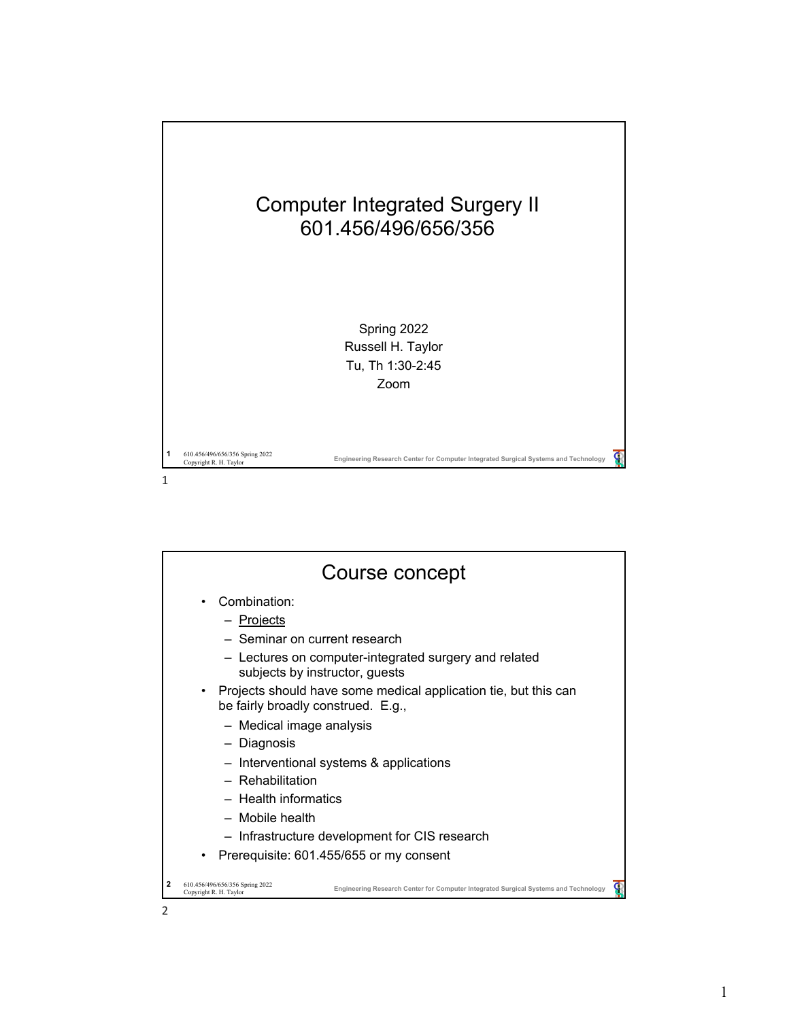

|   | Course concept                                                                                                                                   |
|---|--------------------------------------------------------------------------------------------------------------------------------------------------|
|   | Combination:<br>- Projects                                                                                                                       |
|   | - Seminar on current research                                                                                                                    |
|   | - Lectures on computer-integrated surgery and related<br>subjects by instructor, guests                                                          |
|   | • Projects should have some medical application tie, but this can<br>be fairly broadly construed. E.g.,                                          |
|   | - Medical image analysis                                                                                                                         |
|   | - Diagnosis                                                                                                                                      |
|   | - Interventional systems & applications                                                                                                          |
|   | - Rehabilitation                                                                                                                                 |
|   | - Health informatics                                                                                                                             |
|   | - Mobile health                                                                                                                                  |
|   | - Infrastructure development for CIS research                                                                                                    |
|   | Prerequisite: 601.455/655 or my consent                                                                                                          |
| 2 | 610.456/496/656/356 Spring 2022<br>Engineering Research Center for Computer Integrated Surgical Systems and Technology<br>Copyright R. H. Taylor |
| 2 |                                                                                                                                                  |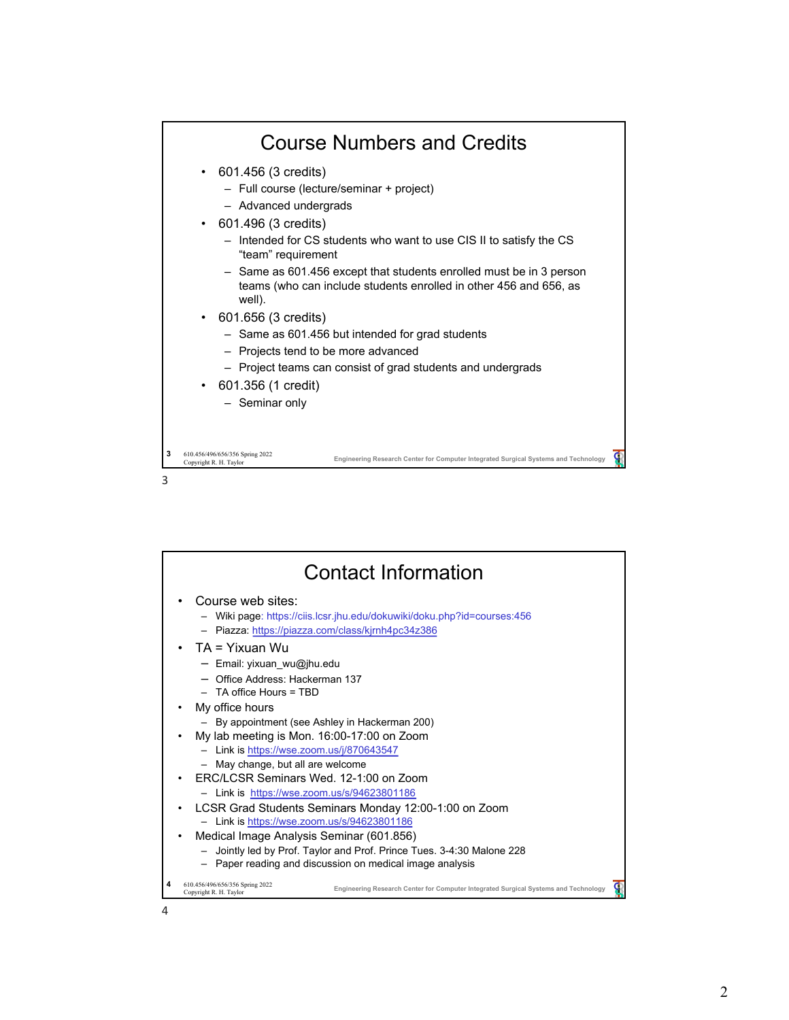

| <b>Contact Information</b>                                                                                                                                                                                                 |  |
|----------------------------------------------------------------------------------------------------------------------------------------------------------------------------------------------------------------------------|--|
| Course web sites:<br>- Wiki page: https://ciis.lcsr.jhu.edu/dokuwiki/doku.php?id=courses:456<br>- Piazza: https://piazza.com/class/kjrnh4pc34z386                                                                          |  |
| $TA = Yixuan Wu$<br>- Email: yixuan wu@jhu.edu<br>- Office Address: Hackerman 137<br>$-$ TA office Hours = TBD                                                                                                             |  |
| My office hours<br>- By appointment (see Ashley in Hackerman 200)<br>My lab meeting is Mon. 16:00-17:00 on Zoom<br>- Link is https://wse.zoom.us/j/870643547                                                               |  |
| - May change, but all are welcome<br>FRC/LCSR Seminars Wed. 12-1:00 on Zoom<br>- Link is https://wse.zoom.us/s/94623801186                                                                                                 |  |
| LCSR Grad Students Seminars Monday 12:00-1:00 on Zoom<br>- Link is https://wse.zoom.us/s/94623801186<br>Medical Image Analysis Seminar (601.856)<br>- Jointly led by Prof. Taylor and Prof. Prince Tues. 3-4:30 Malone 228 |  |
| - Paper reading and discussion on medical image analysis<br>610.456/496/656/356 Spring 2022<br>Engineering Research Center for Computer Integrated Surgical Systems and Technology<br>Copyright R. H. Taylor               |  |
|                                                                                                                                                                                                                            |  |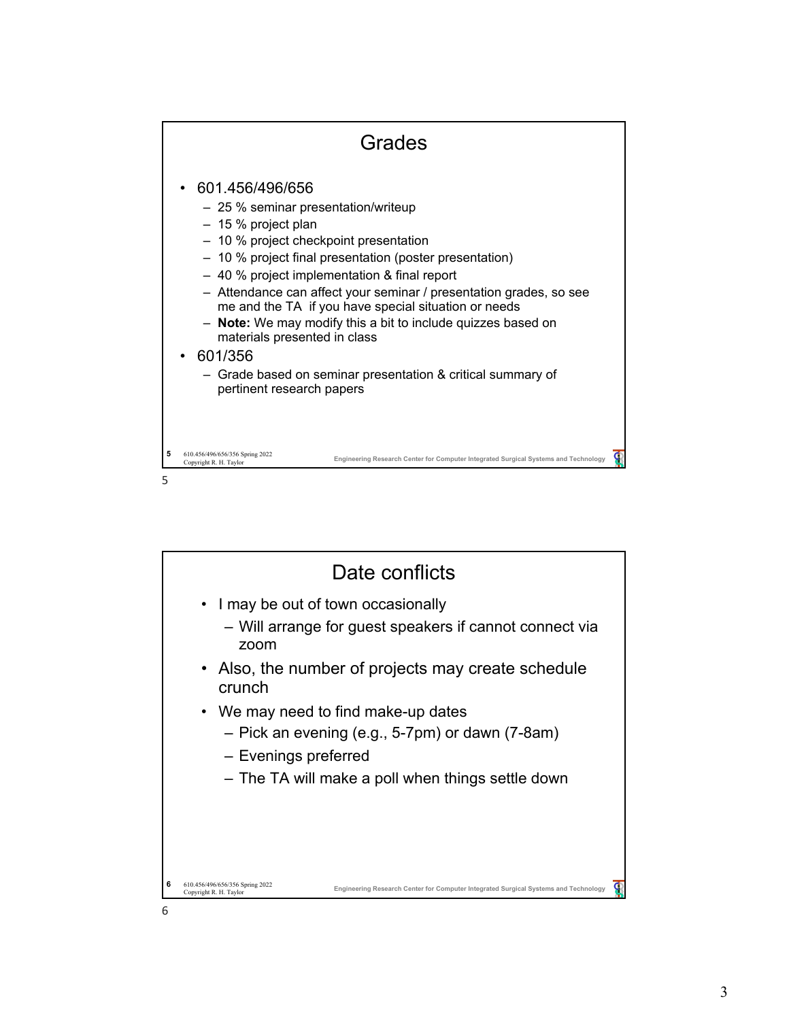

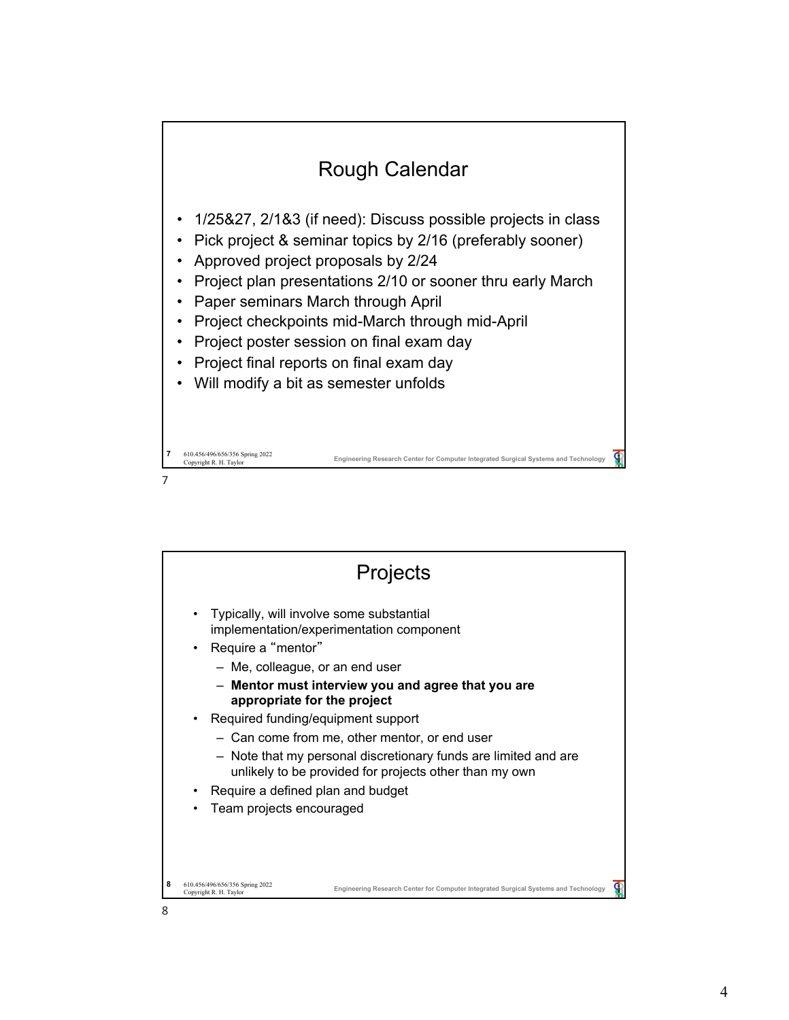

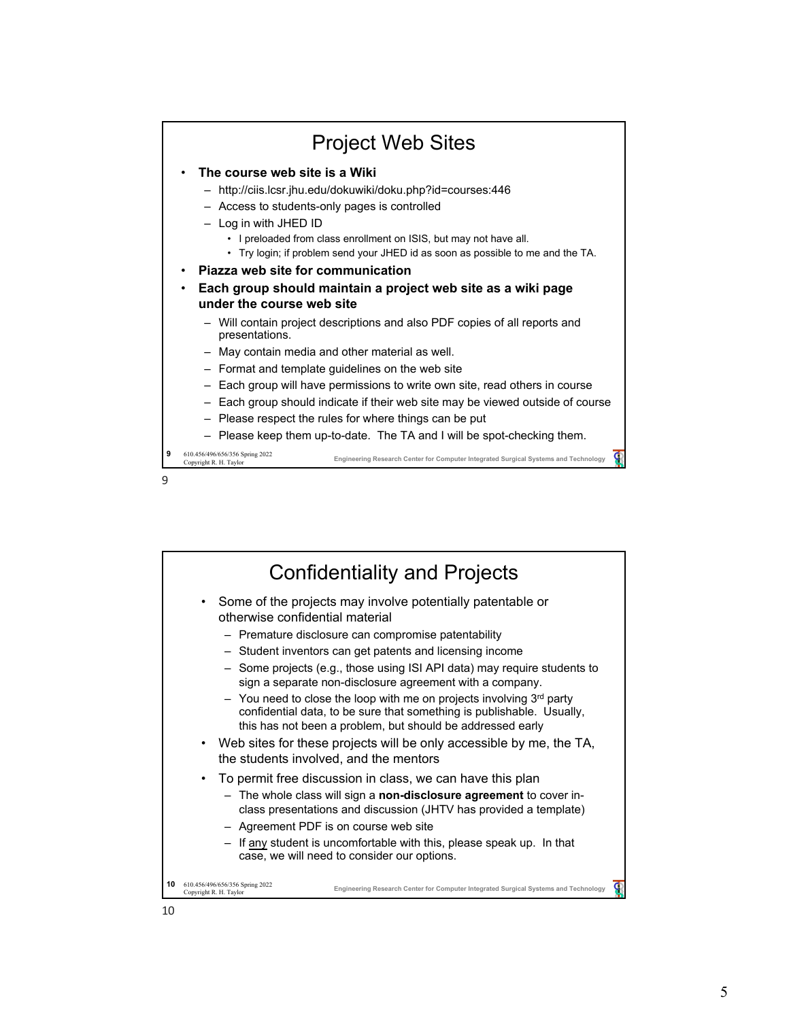

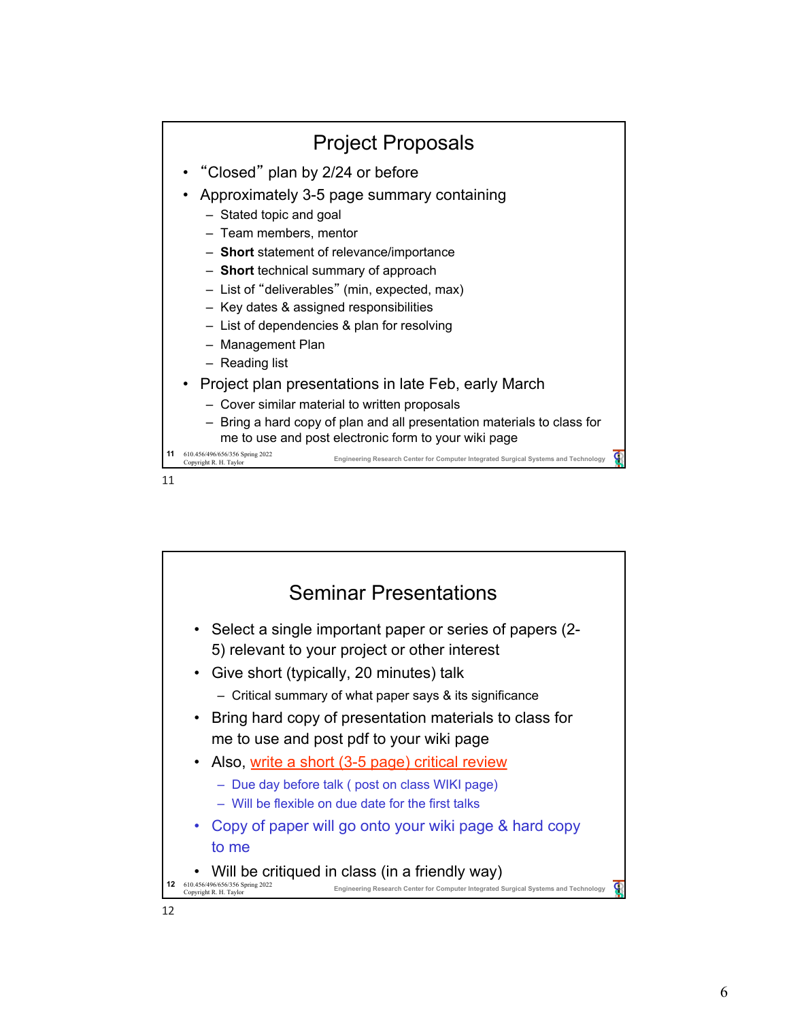

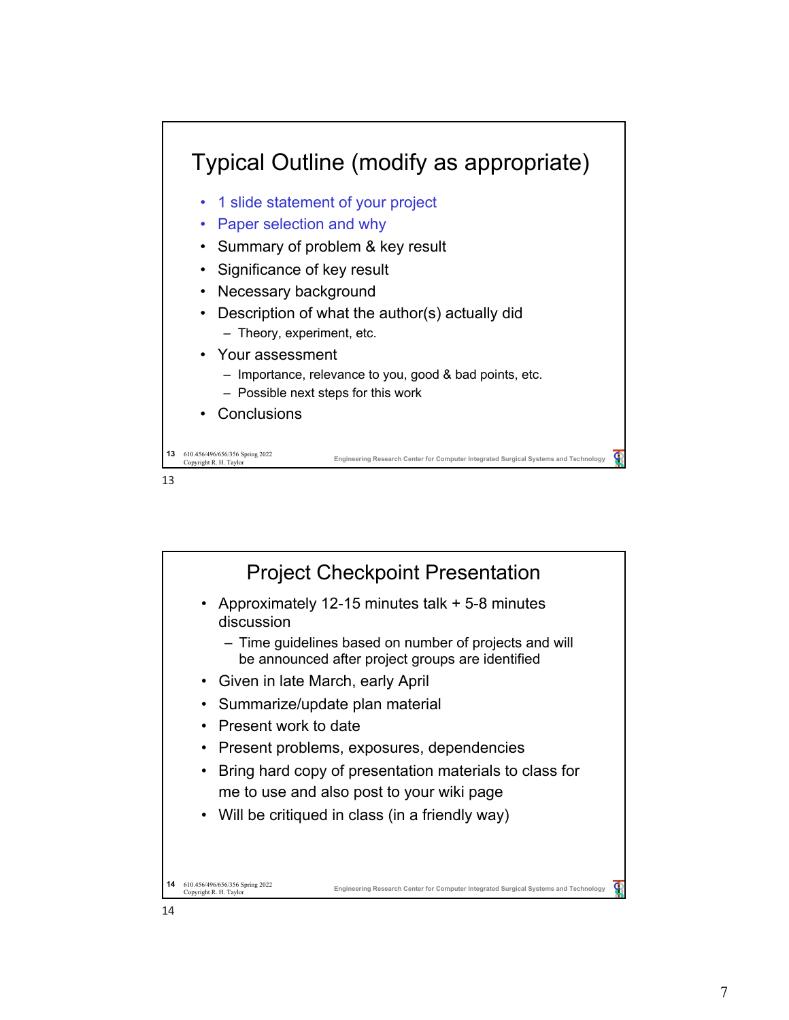

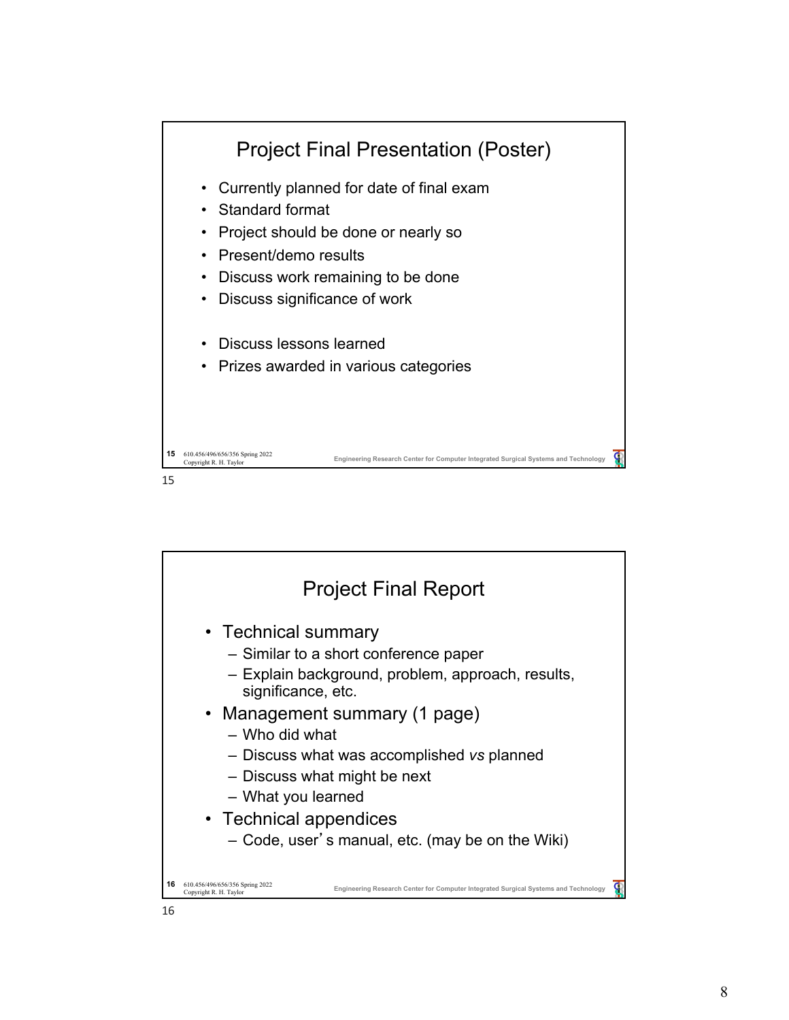